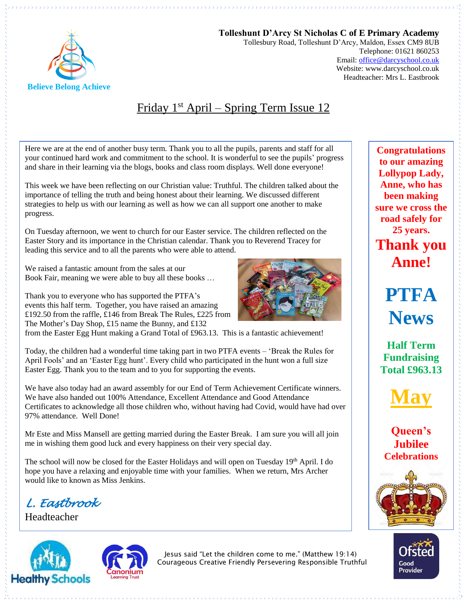

**Tolleshunt D'Arcy St Nicholas C of E Primary Academy** Tollesbury Road, Tolleshunt D'Arcy, Maldon, Essex CM9 8UB Telephone: 01621 860253 Email[: office@darcyschool.co.uk](mailto:office@darcyschool.co.uk) Website: www.darcyschool.co.uk Headteacher: Mrs L. Eastbrook

# Friday 1<sup>st</sup> April – Spring Term Issue 12

Here we are at the end of another busy term. Thank you to all the pupils, parents and staff for all your continued hard work and commitment to the school. It is wonderful to see the pupils' progress and share in their learning via the blogs, books and class room displays. Well done everyone!

This week we have been reflecting on our Christian value: Truthful. The children talked about the importance of telling the truth and being honest about their learning. We discussed different strategies to help us with our learning as well as how we can all support one another to make progress.

On Tuesday afternoon, we went to church for our Easter service. The children reflected on the Easter Story and its importance in the Christian calendar. Thank you to Reverend Tracey for leading this service and to all the parents who were able to attend.

We raised a fantastic amount from the sales at our Book Fair, meaning we were able to buy all these books …

Thank you to everyone who has supported the PTFA's events this half term. Together, you have raised an amazing £192.50 from the raffle, £146 from Break The Rules, £225 from The Mother's Day Shop, £15 name the Bunny, and £132

from the Easter Egg Hunt making a Grand Total of £963.13. This is a fantastic achievement!

Today, the children had a wonderful time taking part in two PTFA events – 'Break the Rules for April Fools' and an 'Easter Egg hunt'. Every child who participated in the hunt won a full size Easter Egg. Thank you to the team and to you for supporting the events.

We have also today had an award assembly for our End of Term Achievement Certificate winners. We have also handed out 100% Attendance, Excellent Attendance and Good Attendance Certificates to acknowledge all those children who, without having had Covid, would have had over 97% attendance. Well Done!

Mr Este and Miss Mansell are getting married during the Easter Break. I am sure you will all join me in wishing them good luck and every happiness on their very special day.

The school will now be closed for the Easter Holidays and will open on Tuesday 19th April. I do hope you have a relaxing and enjoyable time with your families. When we return, Mrs Archer would like to known as Miss Jenkins.

*L. Eastbrook* 

Headteacher





Jesus said "Let the children come to me." (Matthew 19:14) Courageous Creative Friendly Persevering Responsible Truthful

**Congratulations to our amazing Lollypop Lady, Anne, who has been making sure we cross the road safely for 25 years. Thank you Anne!**

> **PTFA News**

**Half Term Fundraising Total £963.13**